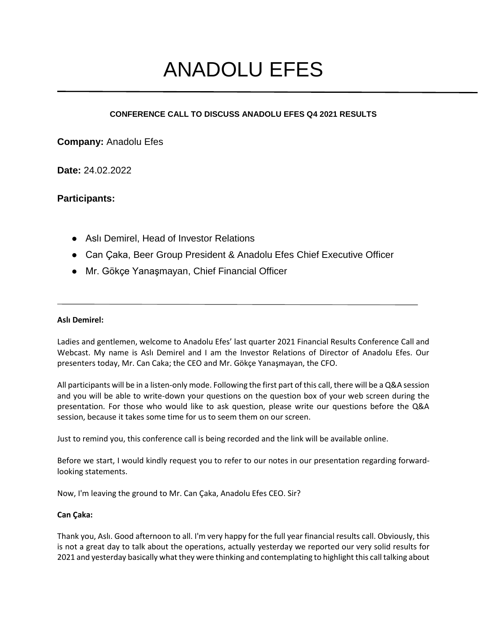# ANADOLU EFES

## **CONFERENCE CALL TO DISCUSS ANADOLU EFES Q4 2021 RESULTS**

**Company:** Anadolu Efes

**Date:** 24.02.2022

# **Participants:**

- Aslı Demirel, Head of Investor Relations
- Can Caka, Beer Group President & Anadolu Efes Chief Executive Officer
- Mr. Gökçe Yanaşmayan, Chief Financial Officer

### **Aslı Demirel:**

Ladies and gentlemen, welcome to Anadolu Efes' last quarter 2021 Financial Results Conference Call and Webcast. My name is Aslı Demirel and I am the Investor Relations of Director of Anadolu Efes. Our presenters today, Mr. Can Caka; the CEO and Mr. Gökçe Yanaşmayan, the CFO.

All participants will be in a listen-only mode. Following the first part of this call, there will be a Q&A session and you will be able to write-down your questions on the question box of your web screen during the presentation. For those who would like to ask question, please write our questions before the Q&A session, because it takes some time for us to seem them on our screen.

Just to remind you, this conference call is being recorded and the link will be available online.

Before we start, I would kindly request you to refer to our notes in our presentation regarding forwardlooking statements.

Now, I'm leaving the ground to Mr. Can Çaka, Anadolu Efes CEO. Sir?

## **Can Çaka:**

Thank you, Aslı. Good afternoon to all. I'm very happy for the full year financial results call. Obviously, this is not a great day to talk about the operations, actually yesterday we reported our very solid results for 2021 and yesterday basically what they were thinking and contemplating to highlight this call talking about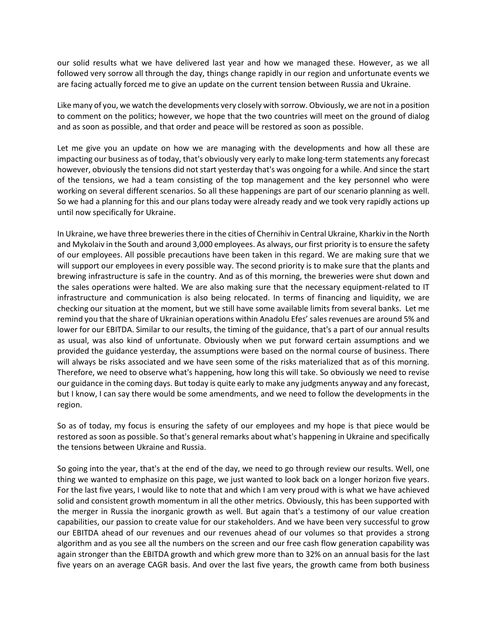our solid results what we have delivered last year and how we managed these. However, as we all followed very sorrow all through the day, things change rapidly in our region and unfortunate events we are facing actually forced me to give an update on the current tension between Russia and Ukraine.

Like many of you, we watch the developments very closely with sorrow. Obviously, we are not in a position to comment on the politics; however, we hope that the two countries will meet on the ground of dialog and as soon as possible, and that order and peace will be restored as soon as possible.

Let me give you an update on how we are managing with the developments and how all these are impacting our business as of today, that's obviously very early to make long-term statements any forecast however, obviously the tensions did not start yesterday that's was ongoing for a while. And since the start of the tensions, we had a team consisting of the top management and the key personnel who were working on several different scenarios. So all these happenings are part of our scenario planning as well. So we had a planning for this and our plans today were already ready and we took very rapidly actions up until now specifically for Ukraine.

In Ukraine, we have three breweries there in the cities of Chernihiv in Central Ukraine, Kharkiv in the North and Mykolaiv in the South and around 3,000 employees. As always, our first priority is to ensure the safety of our employees. All possible precautions have been taken in this regard. We are making sure that we will support our employees in every possible way. The second priority is to make sure that the plants and brewing infrastructure is safe in the country. And as of this morning, the breweries were shut down and the sales operations were halted. We are also making sure that the necessary equipment-related to IT infrastructure and communication is also being relocated. In terms of financing and liquidity, we are checking our situation at the moment, but we still have some available limits from several banks. Let me remind you that the share of Ukrainian operations within Anadolu Efes'sales revenues are around 5% and lower for our EBITDA. Similar to our results, the timing of the guidance, that's a part of our annual results as usual, was also kind of unfortunate. Obviously when we put forward certain assumptions and we provided the guidance yesterday, the assumptions were based on the normal course of business. There will always be risks associated and we have seen some of the risks materialized that as of this morning. Therefore, we need to observe what's happening, how long this will take. So obviously we need to revise our guidance in the coming days. But today is quite early to make any judgments anyway and any forecast, but I know, I can say there would be some amendments, and we need to follow the developments in the region.

So as of today, my focus is ensuring the safety of our employees and my hope is that piece would be restored as soon as possible. So that's general remarks about what's happening in Ukraine and specifically the tensions between Ukraine and Russia.

So going into the year, that's at the end of the day, we need to go through review our results. Well, one thing we wanted to emphasize on this page, we just wanted to look back on a longer horizon five years. For the last five years, I would like to note that and which I am very proud with is what we have achieved solid and consistent growth momentum in all the other metrics. Obviously, this has been supported with the merger in Russia the inorganic growth as well. But again that's a testimony of our value creation capabilities, our passion to create value for our stakeholders. And we have been very successful to grow our EBITDA ahead of our revenues and our revenues ahead of our volumes so that provides a strong algorithm and as you see all the numbers on the screen and our free cash flow generation capability was again stronger than the EBITDA growth and which grew more than to 32% on an annual basis for the last five years on an average CAGR basis. And over the last five years, the growth came from both business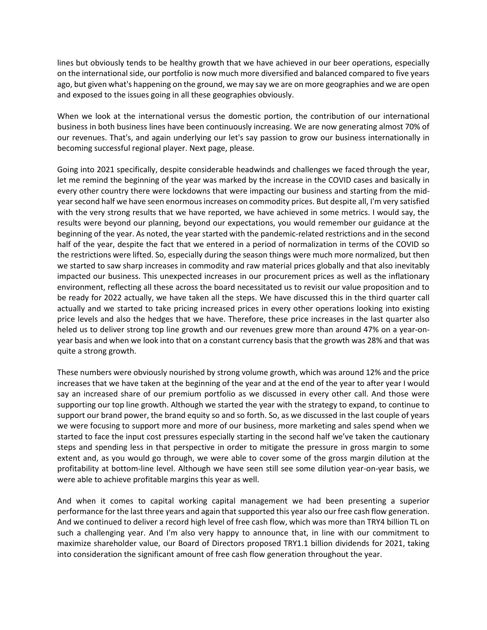lines but obviously tends to be healthy growth that we have achieved in our beer operations, especially on the international side, our portfolio is now much more diversified and balanced compared to five years ago, but given what's happening on the ground, we may say we are on more geographies and we are open and exposed to the issues going in all these geographies obviously.

When we look at the international versus the domestic portion, the contribution of our international business in both business lines have been continuously increasing. We are now generating almost 70% of our revenues. That's, and again underlying our let's say passion to grow our business internationally in becoming successful regional player. Next page, please.

Going into 2021 specifically, despite considerable headwinds and challenges we faced through the year, let me remind the beginning of the year was marked by the increase in the COVID cases and basically in every other country there were lockdowns that were impacting our business and starting from the midyear second half we have seen enormous increases on commodity prices. But despite all, I'm very satisfied with the very strong results that we have reported, we have achieved in some metrics. I would say, the results were beyond our planning, beyond our expectations, you would remember our guidance at the beginning of the year. As noted, the year started with the pandemic-related restrictions and in the second half of the year, despite the fact that we entered in a period of normalization in terms of the COVID so the restrictions were lifted. So, especially during the season things were much more normalized, but then we started to saw sharp increases in commodity and raw material prices globally and that also inevitably impacted our business. This unexpected increases in our procurement prices as well as the inflationary environment, reflecting all these across the board necessitated us to revisit our value proposition and to be ready for 2022 actually, we have taken all the steps. We have discussed this in the third quarter call actually and we started to take pricing increased prices in every other operations looking into existing price levels and also the hedges that we have. Therefore, these price increases in the last quarter also heled us to deliver strong top line growth and our revenues grew more than around 47% on a year-onyear basis and when we look into that on a constant currency basis that the growth was 28% and that was quite a strong growth.

These numbers were obviously nourished by strong volume growth, which was around 12% and the price increases that we have taken at the beginning of the year and at the end of the year to after year I would say an increased share of our premium portfolio as we discussed in every other call. And those were supporting our top line growth. Although we started the year with the strategy to expand, to continue to support our brand power, the brand equity so and so forth. So, as we discussed in the last couple of years we were focusing to support more and more of our business, more marketing and sales spend when we started to face the input cost pressures especially starting in the second half we've taken the cautionary steps and spending less in that perspective in order to mitigate the pressure in gross margin to some extent and, as you would go through, we were able to cover some of the gross margin dilution at the profitability at bottom-line level. Although we have seen still see some dilution year-on-year basis, we were able to achieve profitable margins this year as well.

And when it comes to capital working capital management we had been presenting a superior performance for the last three years and again that supported this year also our free cash flow generation. And we continued to deliver a record high level of free cash flow, which was more than TRY4 billion TL on such a challenging year. And I'm also very happy to announce that, in line with our commitment to maximize shareholder value, our Board of Directors proposed TRY1.1 billion dividends for 2021, taking into consideration the significant amount of free cash flow generation throughout the year.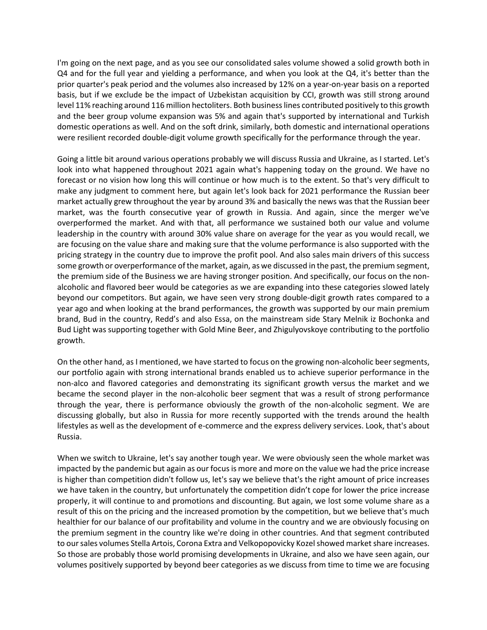I'm going on the next page, and as you see our consolidated sales volume showed a solid growth both in Q4 and for the full year and yielding a performance, and when you look at the Q4, it's better than the prior quarter's peak period and the volumes also increased by 12% on a year-on-year basis on a reported basis, but if we exclude be the impact of Uzbekistan acquisition by CCI, growth was still strong around level 11% reaching around 116 million hectoliters. Both business lines contributed positively to this growth and the beer group volume expansion was 5% and again that's supported by international and Turkish domestic operations as well. And on the soft drink, similarly, both domestic and international operations were resilient recorded double-digit volume growth specifically for the performance through the year.

Going a little bit around various operations probably we will discuss Russia and Ukraine, as I started. Let's look into what happened throughout 2021 again what's happening today on the ground. We have no forecast or no vision how long this will continue or how much is to the extent. So that's very difficult to make any judgment to comment here, but again let's look back for 2021 performance the Russian beer market actually grew throughout the year by around 3% and basically the news was that the Russian beer market, was the fourth consecutive year of growth in Russia. And again, since the merger we've overperformed the market. And with that, all performance we sustained both our value and volume leadership in the country with around 30% value share on average for the year as you would recall, we are focusing on the value share and making sure that the volume performance is also supported with the pricing strategy in the country due to improve the profit pool. And also sales main drivers of this success some growth or overperformance of the market, again, as we discussed in the past, the premium segment, the premium side of the Business we are having stronger position. And specifically, our focus on the nonalcoholic and flavored beer would be categories as we are expanding into these categories slowed lately beyond our competitors. But again, we have seen very strong double-digit growth rates compared to a year ago and when looking at the brand performances, the growth was supported by our main premium brand, Bud in the country, Redd's and also Essa, on the mainstream side Stary Melnik iz Bochonka and Bud Light was supporting together with Gold Mine Beer, and Zhigulyovskoye contributing to the portfolio growth.

On the other hand, as I mentioned, we have started to focus on the growing non-alcoholic beer segments, our portfolio again with strong international brands enabled us to achieve superior performance in the non-alco and flavored categories and demonstrating its significant growth versus the market and we became the second player in the non-alcoholic beer segment that was a result of strong performance through the year, there is performance obviously the growth of the non-alcoholic segment. We are discussing globally, but also in Russia for more recently supported with the trends around the health lifestyles as well as the development of e-commerce and the express delivery services. Look, that's about Russia.

When we switch to Ukraine, let's say another tough year. We were obviously seen the whole market was impacted by the pandemic but again as our focus is more and more on the value we had the price increase is higher than competition didn't follow us, let's say we believe that's the right amount of price increases we have taken in the country, but unfortunately the competition didn't cope for lower the price increase properly, it will continue to and promotions and discounting. But again, we lost some volume share as a result of this on the pricing and the increased promotion by the competition, but we believe that's much healthier for our balance of our profitability and volume in the country and we are obviously focusing on the premium segment in the country like we're doing in other countries. And that segment contributed to our sales volumes Stella Artois, Corona Extra and Velkopopovicky Kozelshowed market share increases. So those are probably those world promising developments in Ukraine, and also we have seen again, our volumes positively supported by beyond beer categories as we discuss from time to time we are focusing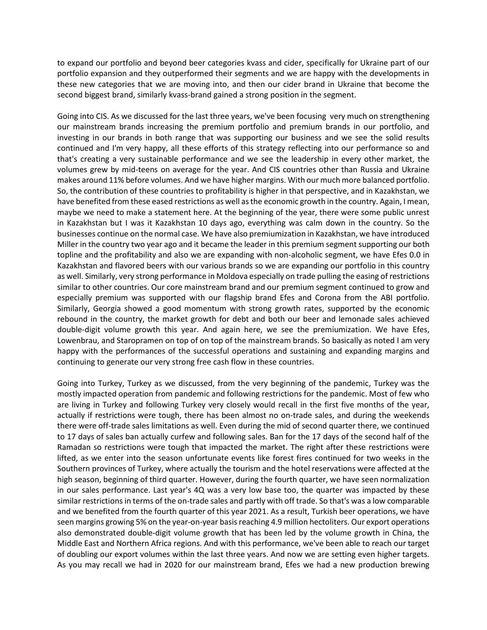to expand our portfolio and beyond beer categories kvass and cider, specifically for Ukraine part of our portfolio expansion and they outperformed their segments and we are happy with the developments in these new categories that we are moving into, and then our cider brand in Ukraine that become the second biggest brand, similarly kvass-brand gained a strong position in the segment.

Going into CIS. As we discussed for the last three years, we've been focusing very much on strengthening our mainstream brands increasing the premium portfolio and premium brands in our portfolio, and investing in our brands in both range that was supporting our business and we see the solid results continued and I'm very happy, all these efforts of this strategy reflecting into our performance so and that's creating a very sustainable performance and we see the leadership in every other market, the volumes grew by mid-teens on average for the year. And CIS countries other than Russia and Ukraine makes around 11% before volumes. And we have higher margins. With our much more balanced portfolio. So, the contribution of these countries to profitability is higher in that perspective, and in Kazakhstan, we have benefited from these eased restrictions as well as the economic growth in the country. Again, I mean, maybe we need to make a statement here. At the beginning of the year, there were some public unrest in Kazakhstan but I was it Kazakhstan 10 days ago, everything was calm down in the country. So the businesses continue on the normal case. We have also premiumization in Kazakhstan, we have introduced Miller in the country two year ago and it became the leader in this premium segment supporting our both topline and the profitability and also we are expanding with non-alcoholic segment, we have Efes 0.0 in Kazakhstan and flavored beers with our various brands so we are expanding our portfolio in this country as well. Similarly, very strong performance in Moldova especially on trade pulling the easing of restrictions similar to other countries. Our core mainstream brand and our premium segment continued to grow and especially premium was supported with our flagship brand Efes and Corona from the ABI portfolio. Similarly, Georgia showed a good momentum with strong growth rates, supported by the economic rebound in the country, the market growth for debt and both our beer and lemonade sales achieved double-digit volume growth this year. And again here, we see the premiumization. We have Efes, Lowenbrau, and Staropramen on top of on top of the mainstream brands. So basically as noted I am very happy with the performances of the successful operations and sustaining and expanding margins and continuing to generate our very strong free cash flow in these countries.

Going into Turkey, Turkey as we discussed, from the very beginning of the pandemic, Turkey was the mostly impacted operation from pandemic and following restrictions for the pandemic. Most of few who are living in Turkey and following Turkey very closely would recall in the first five months of the year, actually if restrictions were tough, there has been almost no on-trade sales, and during the weekends there were off-trade sales limitations as well. Even during the mid of second quarter there, we continued to 17 days of sales ban actually curfew and following sales. Ban for the 17 days of the second half of the Ramadan so restrictions were tough that impacted the market. The right after these restrictions were lifted, as we enter into the season unfortunate events like forest fires continued for two weeks in the Southern provinces of Turkey, where actually the tourism and the hotel reservations were affected at the high season, beginning of third quarter. However, during the fourth quarter, we have seen normalization in our sales performance. Last year's 4Q was a very low base too, the quarter was impacted by these similar restrictions in terms of the on-trade sales and partly with off trade. So that's was a low comparable and we benefited from the fourth quarter of this year 2021. As a result, Turkish beer operations, we have seen margins growing 5% on the year-on-year basis reaching 4.9 million hectoliters. Our export operations also demonstrated double-digit volume growth that has been led by the volume growth in China, the Middle East and Northern Africa regions. And with this performance, we've been able to reach our target of doubling our export volumes within the last three years. And now we are setting even higher targets. As you may recall we had in 2020 for our mainstream brand, Efes we had a new production brewing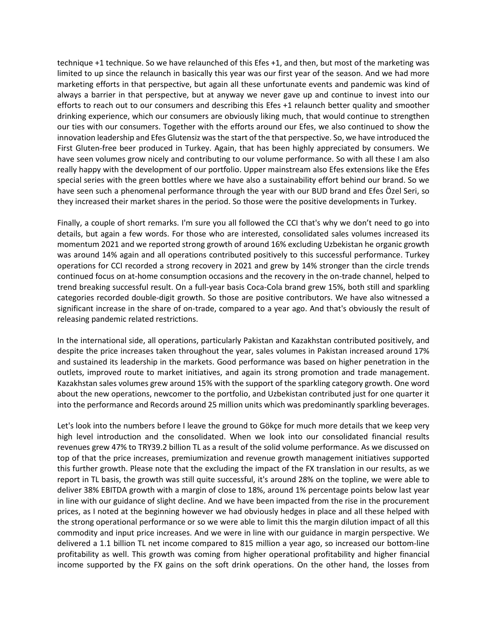technique +1 technique. So we have relaunched of this Efes +1, and then, but most of the marketing was limited to up since the relaunch in basically this year was our first year of the season. And we had more marketing efforts in that perspective, but again all these unfortunate events and pandemic was kind of always a barrier in that perspective, but at anyway we never gave up and continue to invest into our efforts to reach out to our consumers and describing this Efes +1 relaunch better quality and smoother drinking experience, which our consumers are obviously liking much, that would continue to strengthen our ties with our consumers. Together with the efforts around our Efes, we also continued to show the innovation leadership and Efes Glutensiz was the start of the that perspective. So, we have introduced the First Gluten-free beer produced in Turkey. Again, that has been highly appreciated by consumers. We have seen volumes grow nicely and contributing to our volume performance. So with all these I am also really happy with the development of our portfolio. Upper mainstream also Efes extensions like the Efes special series with the green bottles where we have also a sustainability effort behind our brand. So we have seen such a phenomenal performance through the year with our BUD brand and Efes Özel Seri, so they increased their market shares in the period. So those were the positive developments in Turkey.

Finally, a couple of short remarks. I'm sure you all followed the CCI that's why we don't need to go into details, but again a few words. For those who are interested, consolidated sales volumes increased its momentum 2021 and we reported strong growth of around 16% excluding Uzbekistan he organic growth was around 14% again and all operations contributed positively to this successful performance. Turkey operations for CCI recorded a strong recovery in 2021 and grew by 14% stronger than the circle trends continued focus on at-home consumption occasions and the recovery in the on-trade channel, helped to trend breaking successful result. On a full-year basis Coca-Cola brand grew 15%, both still and sparkling categories recorded double-digit growth. So those are positive contributors. We have also witnessed a significant increase in the share of on-trade, compared to a year ago. And that's obviously the result of releasing pandemic related restrictions.

In the international side, all operations, particularly Pakistan and Kazakhstan contributed positively, and despite the price increases taken throughout the year, sales volumes in Pakistan increased around 17% and sustained its leadership in the markets. Good performance was based on higher penetration in the outlets, improved route to market initiatives, and again its strong promotion and trade management. Kazakhstan sales volumes grew around 15% with the support of the sparkling category growth. One word about the new operations, newcomer to the portfolio, and Uzbekistan contributed just for one quarter it into the performance and Records around 25 million units which was predominantly sparkling beverages.

Let's look into the numbers before I leave the ground to Gökçe for much more details that we keep very high level introduction and the consolidated. When we look into our consolidated financial results revenues grew 47% to TRY39.2 billion TL as a result of the solid volume performance. As we discussed on top of that the price increases, premiumization and revenue growth management initiatives supported this further growth. Please note that the excluding the impact of the FX translation in our results, as we report in TL basis, the growth was still quite successful, it's around 28% on the topline, we were able to deliver 38% EBITDA growth with a margin of close to 18%, around 1% percentage points below last year in line with our guidance of slight decline. And we have been impacted from the rise in the procurement prices, as I noted at the beginning however we had obviously hedges in place and all these helped with the strong operational performance or so we were able to limit this the margin dilution impact of all this commodity and input price increases. And we were in line with our guidance in margin perspective. We delivered a 1.1 billion TL net income compared to 815 million a year ago, so increased our bottom-line profitability as well. This growth was coming from higher operational profitability and higher financial income supported by the FX gains on the soft drink operations. On the other hand, the losses from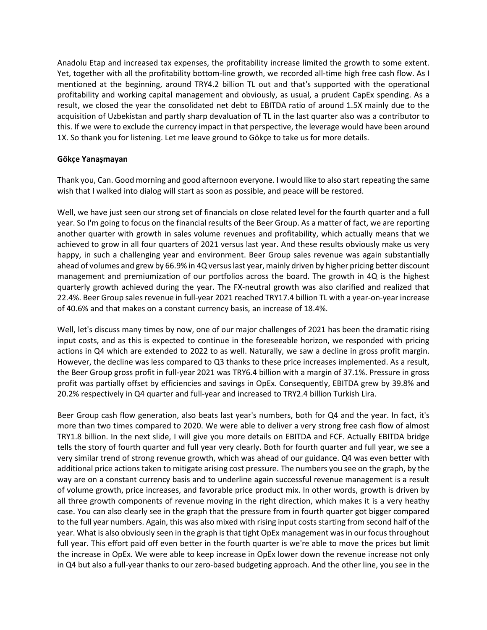Anadolu Etap and increased tax expenses, the profitability increase limited the growth to some extent. Yet, together with all the profitability bottom-line growth, we recorded all-time high free cash flow. As I mentioned at the beginning, around TRY4.2 billion TL out and that's supported with the operational profitability and working capital management and obviously, as usual, a prudent CapEx spending. As a result, we closed the year the consolidated net debt to EBITDA ratio of around 1.5X mainly due to the acquisition of Uzbekistan and partly sharp devaluation of TL in the last quarter also was a contributor to this. If we were to exclude the currency impact in that perspective, the leverage would have been around 1X. So thank you for listening. Let me leave ground to Gökçe to take us for more details.

#### **Gökçe Yanaşmayan**

Thank you, Can. Good morning and good afternoon everyone. I would like to also start repeating the same wish that I walked into dialog will start as soon as possible, and peace will be restored.

Well, we have just seen our strong set of financials on close related level for the fourth quarter and a full year. So I'm going to focus on the financial results of the Beer Group. As a matter of fact, we are reporting another quarter with growth in sales volume revenues and profitability, which actually means that we achieved to grow in all four quarters of 2021 versus last year. And these results obviously make us very happy, in such a challenging year and environment. Beer Group sales revenue was again substantially ahead of volumes and grew by 66.9% in 4Q versus last year, mainly driven by higher pricing better discount management and premiumization of our portfolios across the board. The growth in 4Q is the highest quarterly growth achieved during the year. The FX-neutral growth was also clarified and realized that 22.4%. Beer Group sales revenue in full-year 2021 reached TRY17.4 billion TL with a year-on-year increase of 40.6% and that makes on a constant currency basis, an increase of 18.4%.

Well, let's discuss many times by now, one of our major challenges of 2021 has been the dramatic rising input costs, and as this is expected to continue in the foreseeable horizon, we responded with pricing actions in Q4 which are extended to 2022 to as well. Naturally, we saw a decline in gross profit margin. However, the decline was less compared to Q3 thanks to these price increases implemented. As a result, the Beer Group gross profit in full-year 2021 was TRY6.4 billion with a margin of 37.1%. Pressure in gross profit was partially offset by efficiencies and savings in OpEx. Consequently, EBITDA grew by 39.8% and 20.2% respectively in Q4 quarter and full-year and increased to TRY2.4 billion Turkish Lira.

Beer Group cash flow generation, also beats last year's numbers, both for Q4 and the year. In fact, it's more than two times compared to 2020. We were able to deliver a very strong free cash flow of almost TRY1.8 billion. In the next slide, I will give you more details on EBITDA and FCF. Actually EBITDA bridge tells the story of fourth quarter and full year very clearly. Both for fourth quarter and full year, we see a very similar trend of strong revenue growth, which was ahead of our guidance. Q4 was even better with additional price actions taken to mitigate arising cost pressure. The numbers you see on the graph, by the way are on a constant currency basis and to underline again successful revenue management is a result of volume growth, price increases, and favorable price product mix. In other words, growth is driven by all three growth components of revenue moving in the right direction, which makes it is a very heathy case. You can also clearly see in the graph that the pressure from in fourth quarter got bigger compared to the full year numbers. Again, this was also mixed with rising input costs starting from second half of the year. What is also obviously seen in the graph is that tight OpEx management was in our focus throughout full year. This effort paid off even better in the fourth quarter is we're able to move the prices but limit the increase in OpEx. We were able to keep increase in OpEx lower down the revenue increase not only in Q4 but also a full-year thanks to our zero-based budgeting approach. And the other line, you see in the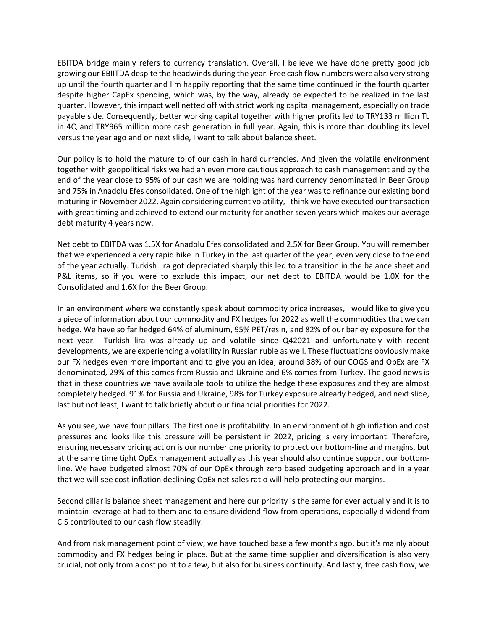EBITDA bridge mainly refers to currency translation. Overall, I believe we have done pretty good job growing our EBIITDA despite the headwinds during the year. Free cash flow numbers were also very strong up until the fourth quarter and I'm happily reporting that the same time continued in the fourth quarter despite higher CapEx spending, which was, by the way, already be expected to be realized in the last quarter. However, this impact well netted off with strict working capital management, especially on trade payable side. Consequently, better working capital together with higher profits led to TRY133 million TL in 4Q and TRY965 million more cash generation in full year. Again, this is more than doubling its level versus the year ago and on next slide, I want to talk about balance sheet.

Our policy is to hold the mature to of our cash in hard currencies. And given the volatile environment together with geopolitical risks we had an even more cautious approach to cash management and by the end of the year close to 95% of our cash we are holding was hard currency denominated in Beer Group and 75% in Anadolu Efes consolidated. One of the highlight of the year was to refinance our existing bond maturing in November 2022. Again considering current volatility, I think we have executed our transaction with great timing and achieved to extend our maturity for another seven years which makes our average debt maturity 4 years now.

Net debt to EBITDA was 1.5X for Anadolu Efes consolidated and 2.5X for Beer Group. You will remember that we experienced a very rapid hike in Turkey in the last quarter of the year, even very close to the end of the year actually. Turkish lira got depreciated sharply this led to a transition in the balance sheet and P&L items, so if you were to exclude this impact, our net debt to EBITDA would be 1.0X for the Consolidated and 1.6X for the Beer Group.

In an environment where we constantly speak about commodity price increases, I would like to give you a piece of information about our commodity and FX hedges for 2022 as well the commodities that we can hedge. We have so far hedged 64% of aluminum, 95% PET/resin, and 82% of our barley exposure for the next year. Turkish lira was already up and volatile since Q42021 and unfortunately with recent developments, we are experiencing a volatility in Russian ruble as well. These fluctuations obviously make our FX hedges even more important and to give you an idea, around 38% of our COGS and OpEx are FX denominated, 29% of this comes from Russia and Ukraine and 6% comes from Turkey. The good news is that in these countries we have available tools to utilize the hedge these exposures and they are almost completely hedged. 91% for Russia and Ukraine, 98% for Turkey exposure already hedged, and next slide, last but not least, I want to talk briefly about our financial priorities for 2022.

As you see, we have four pillars. The first one is profitability. In an environment of high inflation and cost pressures and looks like this pressure will be persistent in 2022, pricing is very important. Therefore, ensuring necessary pricing action is our number one priority to protect our bottom-line and margins, but at the same time tight OpEx management actually as this year should also continue support our bottomline. We have budgeted almost 70% of our OpEx through zero based budgeting approach and in a year that we will see cost inflation declining OpEx net sales ratio will help protecting our margins.

Second pillar is balance sheet management and here our priority is the same for ever actually and it is to maintain leverage at had to them and to ensure dividend flow from operations, especially dividend from CIS contributed to our cash flow steadily.

And from risk management point of view, we have touched base a few months ago, but it's mainly about commodity and FX hedges being in place. But at the same time supplier and diversification is also very crucial, not only from a cost point to a few, but also for business continuity. And lastly, free cash flow, we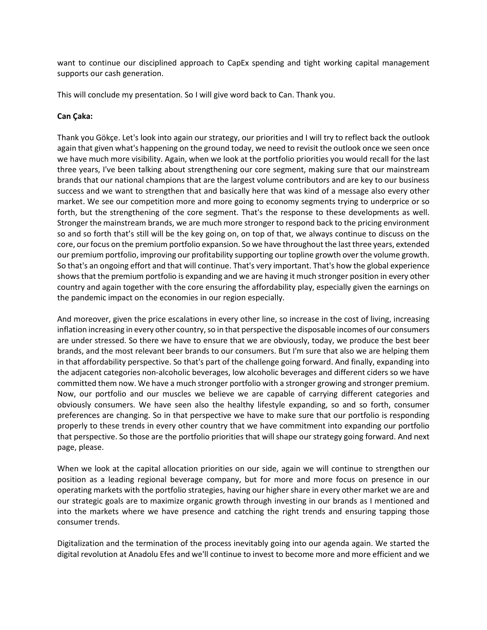want to continue our disciplined approach to CapEx spending and tight working capital management supports our cash generation.

This will conclude my presentation. So I will give word back to Can. Thank you.

#### **Can Çaka:**

Thank you Gökçe. Let's look into again our strategy, our priorities and I will try to reflect back the outlook again that given what's happening on the ground today, we need to revisit the outlook once we seen once we have much more visibility. Again, when we look at the portfolio priorities you would recall for the last three years, I've been talking about strengthening our core segment, making sure that our mainstream brands that our national champions that are the largest volume contributors and are key to our business success and we want to strengthen that and basically here that was kind of a message also every other market. We see our competition more and more going to economy segments trying to underprice or so forth, but the strengthening of the core segment. That's the response to these developments as well. Stronger the mainstream brands, we are much more stronger to respond back to the pricing environment so and so forth that's still will be the key going on, on top of that, we always continue to discuss on the core, our focus on the premium portfolio expansion. So we have throughout the last three years, extended our premium portfolio, improving our profitability supporting our topline growth over the volume growth. So that's an ongoing effort and that will continue. That's very important. That's how the global experience shows that the premium portfolio is expanding and we are having it much stronger position in every other country and again together with the core ensuring the affordability play, especially given the earnings on the pandemic impact on the economies in our region especially.

And moreover, given the price escalations in every other line, so increase in the cost of living, increasing inflation increasing in every other country, so in that perspective the disposable incomes of our consumers are under stressed. So there we have to ensure that we are obviously, today, we produce the best beer brands, and the most relevant beer brands to our consumers. But I'm sure that also we are helping them in that affordability perspective. So that's part of the challenge going forward. And finally, expanding into the adjacent categories non-alcoholic beverages, low alcoholic beverages and different ciders so we have committed them now. We have a much stronger portfolio with a stronger growing and stronger premium. Now, our portfolio and our muscles we believe we are capable of carrying different categories and obviously consumers. We have seen also the healthy lifestyle expanding, so and so forth, consumer preferences are changing. So in that perspective we have to make sure that our portfolio is responding properly to these trends in every other country that we have commitment into expanding our portfolio that perspective. So those are the portfolio priorities that will shape our strategy going forward. And next page, please.

When we look at the capital allocation priorities on our side, again we will continue to strengthen our position as a leading regional beverage company, but for more and more focus on presence in our operating markets with the portfolio strategies, having our higher share in every other market we are and our strategic goals are to maximize organic growth through investing in our brands as I mentioned and into the markets where we have presence and catching the right trends and ensuring tapping those consumer trends.

Digitalization and the termination of the process inevitably going into our agenda again. We started the digital revolution at Anadolu Efes and we'll continue to invest to become more and more efficient and we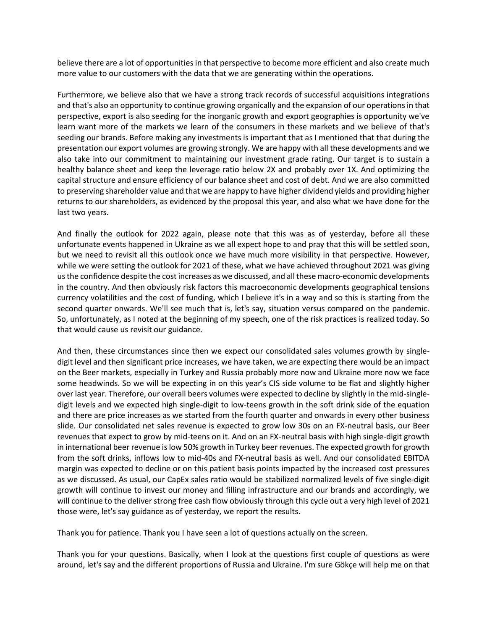believe there are a lot of opportunities in that perspective to become more efficient and also create much more value to our customers with the data that we are generating within the operations.

Furthermore, we believe also that we have a strong track records of successful acquisitions integrations and that's also an opportunity to continue growing organically and the expansion of our operations in that perspective, export is also seeding for the inorganic growth and export geographies is opportunity we've learn want more of the markets we learn of the consumers in these markets and we believe of that's seeding our brands. Before making any investments is important that as I mentioned that that during the presentation our export volumes are growing strongly. We are happy with all these developments and we also take into our commitment to maintaining our investment grade rating. Our target is to sustain a healthy balance sheet and keep the leverage ratio below 2X and probably over 1X. And optimizing the capital structure and ensure efficiency of our balance sheet and cost of debt. And we are also committed to preserving shareholder value and that we are happy to have higher dividend yields and providing higher returns to our shareholders, as evidenced by the proposal this year, and also what we have done for the last two years.

And finally the outlook for 2022 again, please note that this was as of yesterday, before all these unfortunate events happened in Ukraine as we all expect hope to and pray that this will be settled soon, but we need to revisit all this outlook once we have much more visibility in that perspective. However, while we were setting the outlook for 2021 of these, what we have achieved throughout 2021 was giving us the confidence despite the cost increases as we discussed, and all these macro-economic developments in the country. And then obviously risk factors this macroeconomic developments geographical tensions currency volatilities and the cost of funding, which I believe it's in a way and so this is starting from the second quarter onwards. We'll see much that is, let's say, situation versus compared on the pandemic. So, unfortunately, as I noted at the beginning of my speech, one of the risk practices is realized today. So that would cause us revisit our guidance.

And then, these circumstances since then we expect our consolidated sales volumes growth by singledigit level and then significant price increases, we have taken, we are expecting there would be an impact on the Beer markets, especially in Turkey and Russia probably more now and Ukraine more now we face some headwinds. So we will be expecting in on this year's CIS side volume to be flat and slightly higher over last year. Therefore, our overall beers volumes were expected to decline by slightly in the mid-singledigit levels and we expected high single-digit to low-teens growth in the soft drink side of the equation and there are price increases as we started from the fourth quarter and onwards in every other business slide. Our consolidated net sales revenue is expected to grow low 30s on an FX-neutral basis, our Beer revenues that expect to grow by mid-teens on it. And on an FX-neutral basis with high single-digit growth in international beer revenue is low 50% growth in Turkey beer revenues. The expected growth for growth from the soft drinks, inflows low to mid-40s and FX-neutral basis as well. And our consolidated EBITDA margin was expected to decline or on this patient basis points impacted by the increased cost pressures as we discussed. As usual, our CapEx sales ratio would be stabilized normalized levels of five single-digit growth will continue to invest our money and filling infrastructure and our brands and accordingly, we will continue to the deliver strong free cash flow obviously through this cycle out a very high level of 2021 those were, let's say guidance as of yesterday, we report the results.

Thank you for patience. Thank you I have seen a lot of questions actually on the screen.

Thank you for your questions. Basically, when I look at the questions first couple of questions as were around, let's say and the different proportions of Russia and Ukraine. I'm sure Gökçe will help me on that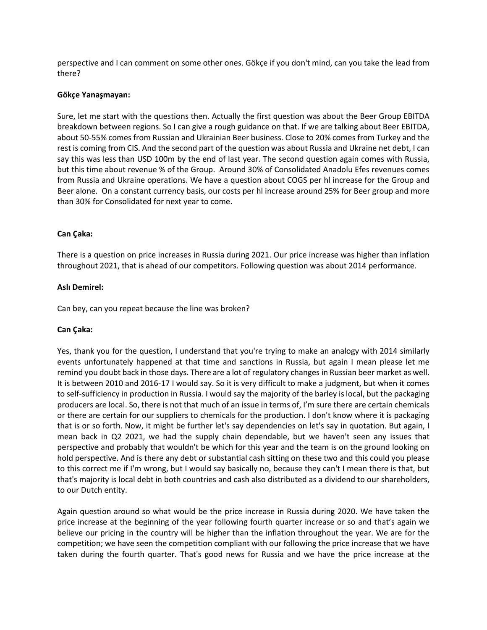perspective and I can comment on some other ones. Gökçe if you don't mind, can you take the lead from there?

#### **Gökçe Yanaşmayan:**

Sure, let me start with the questions then. Actually the first question was about the Beer Group EBITDA breakdown between regions. So I can give a rough guidance on that. If we are talking about Beer EBITDA, about 50-55% comes from Russian and Ukrainian Beer business. Close to 20% comes from Turkey and the rest is coming from CIS. And the second part of the question was about Russia and Ukraine net debt, I can say this was less than USD 100m by the end of last year. The second question again comes with Russia, but this time about revenue % of the Group. Around 30% of Consolidated Anadolu Efes revenues comes from Russia and Ukraine operations. We have a question about COGS per hl increase for the Group and Beer alone. On a constant currency basis, our costs per hl increase around 25% for Beer group and more than 30% for Consolidated for next year to come.

#### **Can Çaka:**

There is a question on price increases in Russia during 2021. Our price increase was higher than inflation throughout 2021, that is ahead of our competitors. Following question was about 2014 performance.

#### **Aslı Demirel:**

Can bey, can you repeat because the line was broken?

#### **Can Çaka:**

Yes, thank you for the question, I understand that you're trying to make an analogy with 2014 similarly events unfortunately happened at that time and sanctions in Russia, but again I mean please let me remind you doubt back in those days. There are a lot of regulatory changes in Russian beer market as well. It is between 2010 and 2016-17 I would say. So it is very difficult to make a judgment, but when it comes to self-sufficiency in production in Russia. I would say the majority of the barley is local, but the packaging producers are local. So, there is not that much of an issue in terms of, I'm sure there are certain chemicals or there are certain for our suppliers to chemicals for the production. I don't know where it is packaging that is or so forth. Now, it might be further let's say dependencies on let's say in quotation. But again, I mean back in Q2 2021, we had the supply chain dependable, but we haven't seen any issues that perspective and probably that wouldn't be which for this year and the team is on the ground looking on hold perspective. And is there any debt or substantial cash sitting on these two and this could you please to this correct me if I'm wrong, but I would say basically no, because they can't I mean there is that, but that's majority is local debt in both countries and cash also distributed as a dividend to our shareholders, to our Dutch entity.

Again question around so what would be the price increase in Russia during 2020. We have taken the price increase at the beginning of the year following fourth quarter increase or so and that's again we believe our pricing in the country will be higher than the inflation throughout the year. We are for the competition; we have seen the competition compliant with our following the price increase that we have taken during the fourth quarter. That's good news for Russia and we have the price increase at the